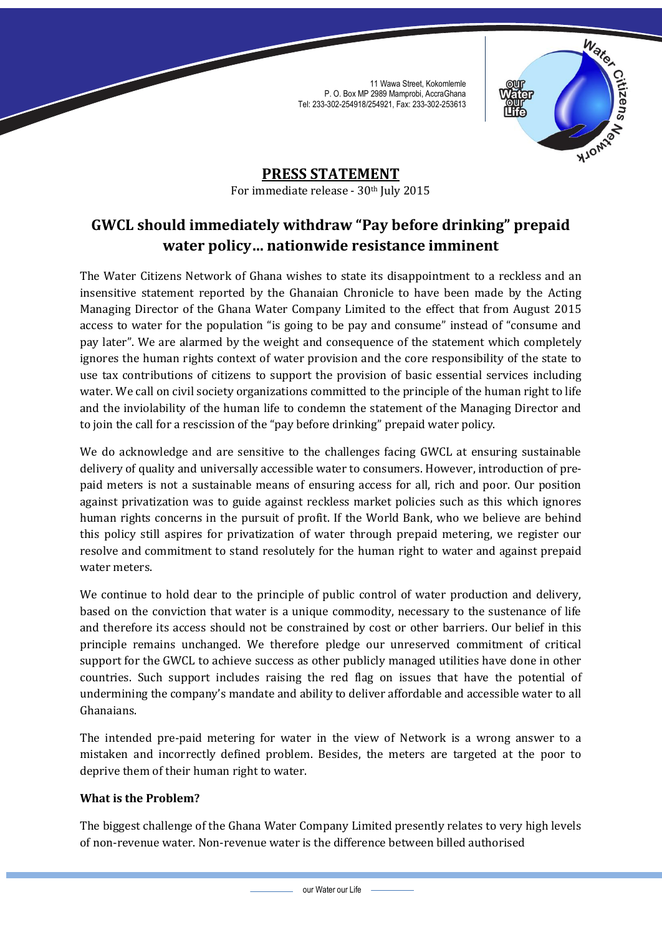

**PRESS STATEMENT** For immediate release - 30<sup>th</sup> July 2015

# **GWCL should immediately withdraw "Pay before drinking" prepaid water policy… nationwide resistance imminent**

The Water Citizens Network of Ghana wishes to state its disappointment to a reckless and an insensitive statement reported by the Ghanaian Chronicle to have been made by the Acting Managing Director of the Ghana Water Company Limited to the effect that from August 2015 access to water for the population "is going to be pay and consume" instead of "consume and pay later". We are alarmed by the weight and consequence of the statement which completely ignores the human rights context of water provision and the core responsibility of the state to use tax contributions of citizens to support the provision of basic essential services including water. We call on civil society organizations committed to the principle of the human right to life and the inviolability of the human life to condemn the statement of the Managing Director and to join the call for a rescission of the "pay before drinking" prepaid water policy.

We do acknowledge and are sensitive to the challenges facing GWCL at ensuring sustainable delivery of quality and universally accessible water to consumers. However, introduction of prepaid meters is not a sustainable means of ensuring access for all, rich and poor. Our position against privatization was to guide against reckless market policies such as this which ignores human rights concerns in the pursuit of profit. If the World Bank, who we believe are behind this policy still aspires for privatization of water through prepaid metering, we register our resolve and commitment to stand resolutely for the human right to water and against prepaid water meters.

We continue to hold dear to the principle of public control of water production and delivery, based on the conviction that water is a unique commodity, necessary to the sustenance of life and therefore its access should not be constrained by cost or other barriers. Our belief in this principle remains unchanged. We therefore pledge our unreserved commitment of critical support for the GWCL to achieve success as other publicly managed utilities have done in other countries. Such support includes raising the red flag on issues that have the potential of undermining the company's mandate and ability to deliver affordable and accessible water to all Ghanaians.

The intended pre-paid metering for water in the view of Network is a wrong answer to a mistaken and incorrectly defined problem. Besides, the meters are targeted at the poor to deprive them of their human right to water.

## **What is the Problem?**

The biggest challenge of the Ghana Water Company Limited presently relates to very high levels of non-revenue water. Non-revenue water is the difference between billed authorised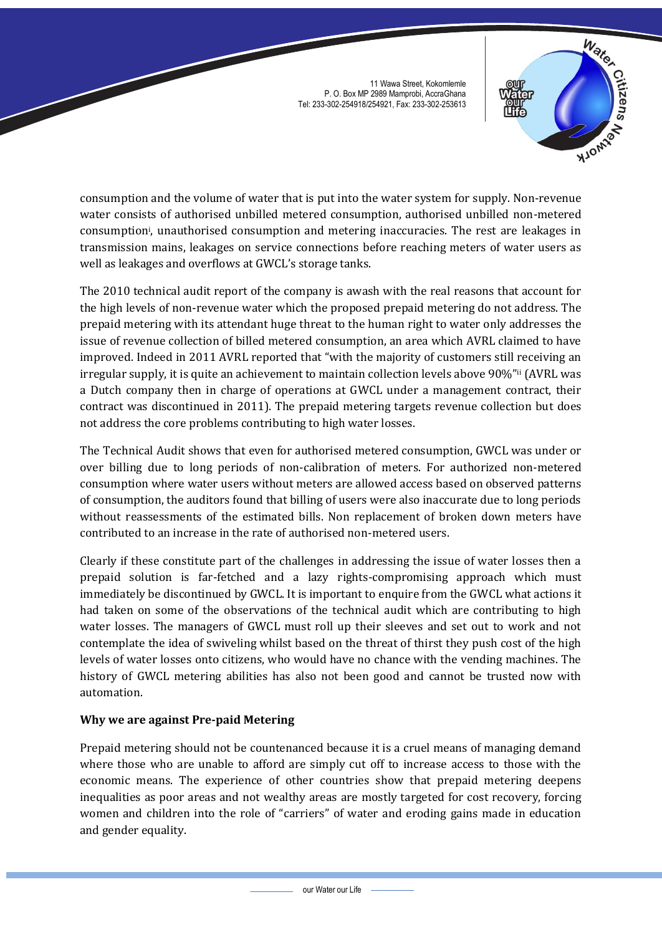

consumption and the volume of water that is put into the water system for supply. Non-revenue water consists of authorised unbilled metered consumption, authorised unbilled non-metered consumption<sup>i</sup> , unauthorised consumption and metering inaccuracies. The rest are leakages in transmission mains, leakages on service connections before reaching meters of water users as well as leakages and overflows at GWCL's storage tanks.

The 2010 technical audit report of the company is awash with the real reasons that account for the high levels of non-revenue water which the proposed prepaid metering do not address. The prepaid metering with its attendant huge threat to the human right to water only addresses the issue of revenue collection of billed metered consumption, an area which AVRL claimed to have improved. Indeed in 2011 AVRL reported that "with the majority of customers still receiving an irregular supply, it is quite an achievement to maintain collection levels above 90%"ii (AVRL was a Dutch company then in charge of operations at GWCL under a management contract, their contract was discontinued in 2011). The prepaid metering targets revenue collection but does not address the core problems contributing to high water losses.

The Technical Audit shows that even for authorised metered consumption, GWCL was under or over billing due to long periods of non-calibration of meters. For authorized non-metered consumption where water users without meters are allowed access based on observed patterns of consumption, the auditors found that billing of users were also inaccurate due to long periods without reassessments of the estimated bills. Non replacement of broken down meters have contributed to an increase in the rate of authorised non-metered users.

Clearly if these constitute part of the challenges in addressing the issue of water losses then a prepaid solution is far-fetched and a lazy rights-compromising approach which must immediately be discontinued by GWCL. It is important to enquire from the GWCL what actions it had taken on some of the observations of the technical audit which are contributing to high water losses. The managers of GWCL must roll up their sleeves and set out to work and not contemplate the idea of swiveling whilst based on the threat of thirst they push cost of the high levels of water losses onto citizens, who would have no chance with the vending machines. The history of GWCL metering abilities has also not been good and cannot be trusted now with automation.

## **Why we are against Pre-paid Metering**

Prepaid metering should not be countenanced because it is a cruel means of managing demand where those who are unable to afford are simply cut off to increase access to those with the economic means. The experience of other countries show that prepaid metering deepens inequalities as poor areas and not wealthy areas are mostly targeted for cost recovery, forcing women and children into the role of "carriers" of water and eroding gains made in education and gender equality.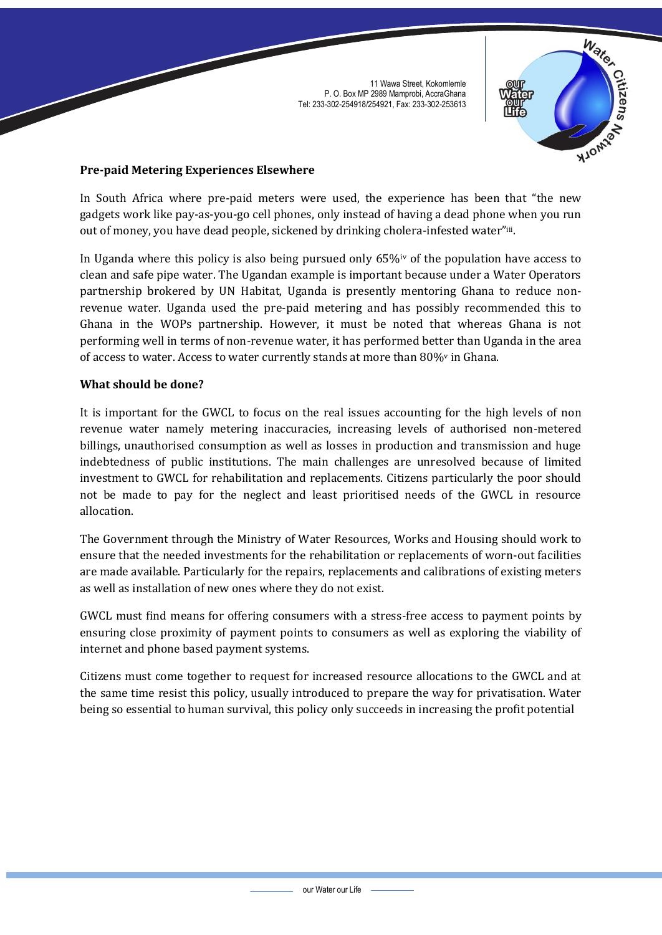

## **Pre-paid Metering Experiences Elsewhere**

In South Africa where pre-paid meters were used, the experience has been that "the new gadgets work like pay-as-you-go cell phones, only instead of having a dead phone when you run out of money, you have dead people, sickened by drinking cholera-infested water"iii.

In Uganda where this policy is also being pursued only 65%iv of the population have access to clean and safe pipe water. The Ugandan example is important because under a Water Operators partnership brokered by UN Habitat, Uganda is presently mentoring Ghana to reduce nonrevenue water. Uganda used the pre-paid metering and has possibly recommended this to Ghana in the WOPs partnership. However, it must be noted that whereas Ghana is not performing well in terms of non-revenue water, it has performed better than Uganda in the area of access to water. Access to water currently stands at more than 80%<sup>v</sup> in Ghana.

## **What should be done?**

It is important for the GWCL to focus on the real issues accounting for the high levels of non revenue water namely metering inaccuracies, increasing levels of authorised non-metered billings, unauthorised consumption as well as losses in production and transmission and huge indebtedness of public institutions. The main challenges are unresolved because of limited investment to GWCL for rehabilitation and replacements. Citizens particularly the poor should not be made to pay for the neglect and least prioritised needs of the GWCL in resource allocation.

The Government through the Ministry of Water Resources, Works and Housing should work to ensure that the needed investments for the rehabilitation or replacements of worn-out facilities are made available. Particularly for the repairs, replacements and calibrations of existing meters as well as installation of new ones where they do not exist.

GWCL must find means for offering consumers with a stress-free access to payment points by ensuring close proximity of payment points to consumers as well as exploring the viability of internet and phone based payment systems.

Citizens must come together to request for increased resource allocations to the GWCL and at the same time resist this policy, usually introduced to prepare the way for privatisation. Water being so essential to human survival, this policy only succeeds in increasing the profit potential